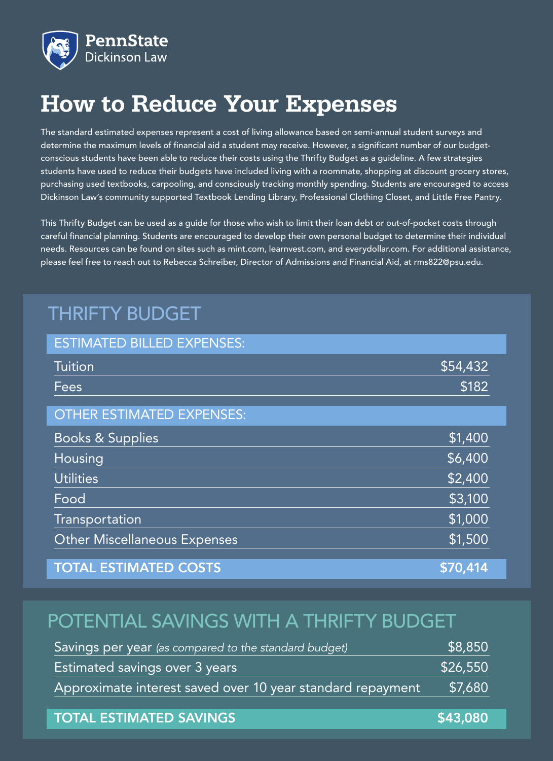

# **How to Reduce Your Expenses**

The standard estimated expenses represent a cost of living allowance based on semi-annual student surveys and determine the maximum levels of financial aid a student may receive. However, a significant number of our budgetconscious students have been able to reduce their costs using the Thrifty Budget as a guideline. A few strategies students have used to reduce their budgets have included living with a roommate, shopping at discount grocery stores, purchasing used textbooks, carpooling, and consciously tracking monthly spending. Students are encouraged to access Dickinson Law's community supported Textbook Lending Library, Professional Clothing Closet, and Little Free Pantry.

This Thrifty Budget can be used as a guide for those who wish to limit their loan debt or out-of-pocket costs through careful financial planning. Students are encouraged to develop their own personal budget to determine their individual needs. Resources can be found on sites such as mint.com, learnvest.com, and everydollar.com. For additional assistance, please feel free to reach out to Rebecca Schreiber, Director of Admissions and Financial Aid, at rms822@psu.edu.

# THRIFTY BUDGET

| <b>ESTIMATED BILLED EXPENSES:</b>   |          |
|-------------------------------------|----------|
| <b>Tuition</b>                      | \$54,432 |
| Fees                                | \$182    |
| <b>OTHER ESTIMATED EXPENSES:</b>    |          |
| <b>Books &amp; Supplies</b>         | \$1,400  |
| Housing                             | \$6,400  |
| <b>Utilities</b>                    | \$2,400  |
| Food                                | \$3,100  |
| Transportation                      | \$1,000  |
| <b>Other Miscellaneous Expenses</b> | \$1,500  |
| <b>TOTAL ESTIMATED COSTS</b>        | \$70,414 |

## POTENTIAL SAVINGS WITH A THRIFTY BUDGET

| Savings per year (as compared to the standard budget)      | \$8,850  |
|------------------------------------------------------------|----------|
| Estimated savings over 3 years                             | \$26,550 |
| Approximate interest saved over 10 year standard repayment | \$7,680  |

### TOTAL ESTIMATED SAVINGS **\$43,080**